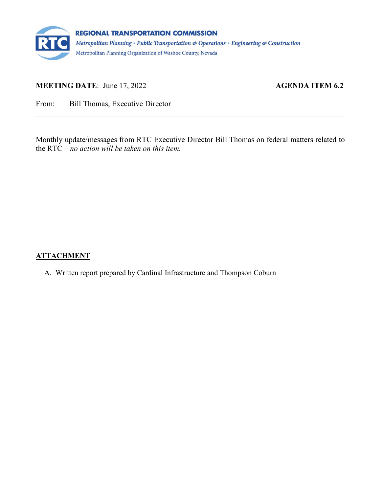

# **MEETING DATE:** June 17, 2022 **AGENDA ITEM 6.2**

From: Bill Thomas, Executive Director

Monthly update/messages from RTC Executive Director Bill Thomas on federal matters related to the RTC – *no action will be taken on this item.*

## **ATTACHMENT**

A. Written report prepared by Cardinal Infrastructure and Thompson Coburn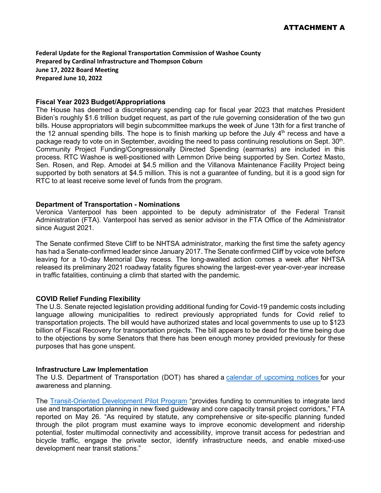**Federal Update for the Regional Transportation Commission of Washoe County Prepared by Cardinal Infrastructure and Thompson Coburn June 17, 2022 Board Meeting Prepared June 10, 2022**

#### **Fiscal Year 2023 Budget/Appropriations**

The House has deemed a discretionary spending cap for fiscal year 2023 that matches President Biden's roughly \$1.6 trillion budget request, as part of the rule governing consideration of the two gun bills. House appropriators will begin subcommittee markups the week of June 13th for a first tranche of the 12 annual spending bills. The hope is to finish marking up before the July  $4<sup>th</sup>$  recess and have a package ready to vote on in September, avoiding the need to pass continuing resolutions on Sept.  $30<sup>th</sup>$ . Community Project Funding/Congressionally Directed Spending (earmarks) are included in this process. RTC Washoe is well-positioned with Lemmon Drive being supported by Sen. Cortez Masto, Sen. Rosen, and Rep. Amodei at \$4.5 million and the Villanova Maintenance Facility Project being supported by both senators at \$4.5 million. This is not a guarantee of funding, but it is a good sign for RTC to at least receive some level of funds from the program.

## **Department of Transportation - Nominations**

Veronica Vanterpool has been appointed to be deputy administrator of the Federal Transit Administration (FTA). Vanterpool has served as senior advisor in the FTA Office of the Administrator since August 2021.

The Senate confirmed Steve Cliff to be NHTSA administrator, marking the first time the safety agency has had a Senate-confirmed leader since January 2017. The Senate confirmed Cliff by voice vote before leaving for a 10-day Memorial Day recess. The long-awaited action comes a week after NHTSA released its preliminary 2021 roadway fatality figures showing the largest-ever year-over-year increase in traffic fatalities, continuing a climb that started with the pandemic.

#### **COVID Relief Funding Flexibility**

The U.S. Senate rejected legislation providing additional funding for Covid-19 pandemic costs including language allowing municipalities to redirect previously appropriated funds for Covid relief to transportation projects. The bill would have authorized states and local governments to use up to \$123 billion of Fiscal Recovery for transportation projects. The bill appears to be dead for the time being due to the objections by some Senators that there has been enough money provided previously for these purposes that has gone unspent.

#### **Infrastructure Law Implementation**

The U.S. Department of Transportation (DOT) has shared a [calendar of upcoming notices](https://www.transportation.gov/bipartisan-infrastructure-law/upcoming-notice-funding-opportunity-announcements-2022) for your awareness and planning.

The [Transit-Oriented Development Pilot Program](https://www.transit.dot.gov/TODPilot) "provides funding to communities to integrate land use and transportation planning in new fixed guideway and core capacity transit project corridors," FTA reported on May 26. "As required by statute, any comprehensive or site-specific planning funded through the pilot program must examine ways to improve economic development and ridership potential, foster multimodal connectivity and accessibility, improve transit access for pedestrian and bicycle traffic, engage the private sector, identify infrastructure needs, and enable mixed-use development near transit stations."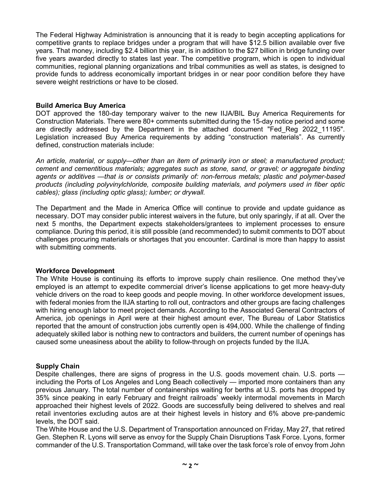The Federal Highway Administration is announcing that it is ready to begin accepting applications for competitive grants to replace bridges under a program that will have \$12.5 billion available over five years. That money, including \$2.4 billion this year, is in addition to the \$27 billion in bridge funding over five years awarded directly to states last year. The competitive program, which is open to individual communities, regional planning organizations and tribal communities as well as states, is designed to provide funds to address economically important bridges in or near poor condition before they have severe weight restrictions or have to be closed.

## **Build America Buy America**

DOT approved the 180-day temporary waiver to the new IIJA/BIL Buy America Requirements for Construction Materials. There were 80+ comments submitted during the 15-day notice period and some are directly addressed by the Department in the attached document "Fed\_Reg 2022\_11195". Legislation increased Buy America requirements by adding "construction materials". As currently defined, construction materials include:

*An article, material, or supply—other than an item of primarily iron or steel; a manufactured product; cement and cementitious materials; aggregates such as stone, sand, or gravel; or aggregate binding agents or additives —that is or consists primarily of: non-ferrous metals; plastic and polymer-based products (including polyvinylchloride, composite building materials, and polymers used in fiber optic cables); glass (including optic glass); lumber; or drywall.*

The Department and the Made in America Office will continue to provide and update guidance as necessary. DOT may consider public interest waivers in the future, but only sparingly, if at all. Over the next 5 months, the Department expects stakeholders/grantees to implement processes to ensure compliance. During this period, it is still possible (and recommended) to submit comments to DOT about challenges procuring materials or shortages that you encounter. Cardinal is more than happy to assist with submitting comments.

#### **Workforce Development**

The White House is continuing its efforts to improve supply chain resilience. One method they've employed is an attempt to expedite commercial driver's license applications to get more heavy-duty vehicle drivers on the road to keep goods and people moving. In other workforce development issues, with federal monies from the IIJA starting to roll out, contractors and other groups are facing challenges with hiring enough labor to meet project demands. According to the Associated General Contractors of America, job openings in April were at their highest amount ever, The Bureau of Labor Statistics reported that the amount of construction jobs currently open is 494,000. While the challenge of finding adequately skilled labor is nothing new to contractors and builders, the current number of openings has caused some uneasiness about the ability to follow-through on projects funded by the IIJA.

## **Supply Chain**

Despite challenges, there are signs of progress in the U.S. goods movement chain. U.S. ports including the Ports of Los Angeles and Long Beach collectively — imported more containers than any previous January. The total number of containerships waiting for berths at U.S. ports has dropped by 35% since peaking in early February and freight railroads' weekly intermodal movements in March approached their highest levels of 2022. Goods are successfully being delivered to shelves and real retail inventories excluding autos are at their highest levels in history and 6% above pre-pandemic levels, the DOT said.

The White House and the U.S. Department of Transportation announced on Friday, May 27, that retired Gen. Stephen R. Lyons will serve as envoy for the Supply Chain Disruptions Task Force. Lyons, former commander of the U.S. Transportation Command, will take over the task force's role of envoy from John